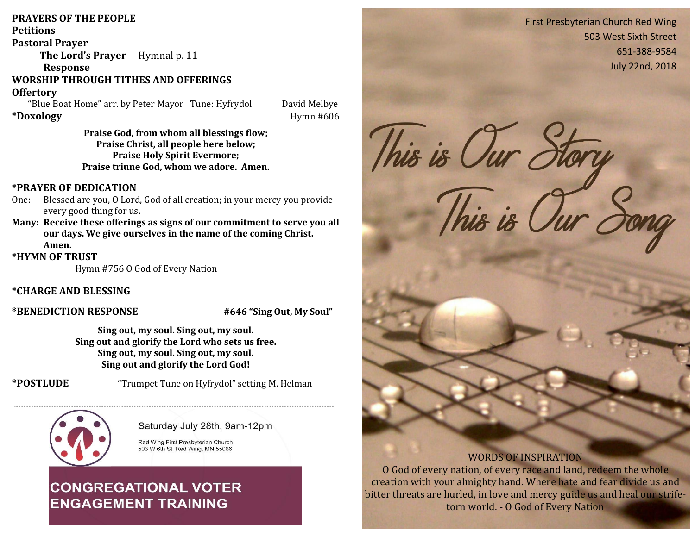#### **PRAYERS OF THE PEOPLE**

**Petitions**

**Pastoral Prayer**

**The Lord's Prayer** Hymnal p. 11

**Response**

#### **WORSHIP THROUGH TITHES AND OFFERINGS**

**Offertory**

 "Blue Boat Home" arr. by Peter Mayor Tune: Hyfrydol David Melbye **\*Doxology** Hymn #606

**Praise God, from whom all blessings flow; Praise Christ, all people here below; Praise Holy Spirit Evermore; Praise triune God, whom we adore. Amen.**

#### **\*PRAYER OF DEDICATION**

- One: Blessed are you, O Lord, God of all creation; in your mercy you provide every good thing for us.
- **Many: Receive these offerings as signs of our commitment to serve you all our days. We give ourselves in the name of the coming Christ. Amen.**

#### **\*HYMN OF TRUST**

Hymn #756 O God of Every Nation

#### **\*CHARGE AND BLESSING**

#### **\*BENEDICTION RESPONSE #646 "Sing Out, My Soul"**

**Sing out, my soul. Sing out, my soul. Sing out and glorify the Lord who sets us free. Sing out, my soul. Sing out, my soul. Sing out and glorify the Lord God!**

**\*POSTLUDE** "Trumpet Tune on Hyfrydol" setting M. Helman



Saturday July 28th, 9am-12pm

Red Wing First Presbyterian Church 503 W 6th St. Red Wing, MN 55066

## **CONGREGATIONAL VOTER ENGAGEMENT TRAINING**

First Presbyterian Church Red Wing 503 West Sixth Street 651-388-9584 July 22nd, 2018

WORDS OF INSPIRATION O God of every nation, of every race and land, redeem the whole creation with your almighty hand. Where hate and fear divide us and bitter threats are hurled, in love and mercy guide us and heal our strifetorn world. - O God of Every Nation

his is Our c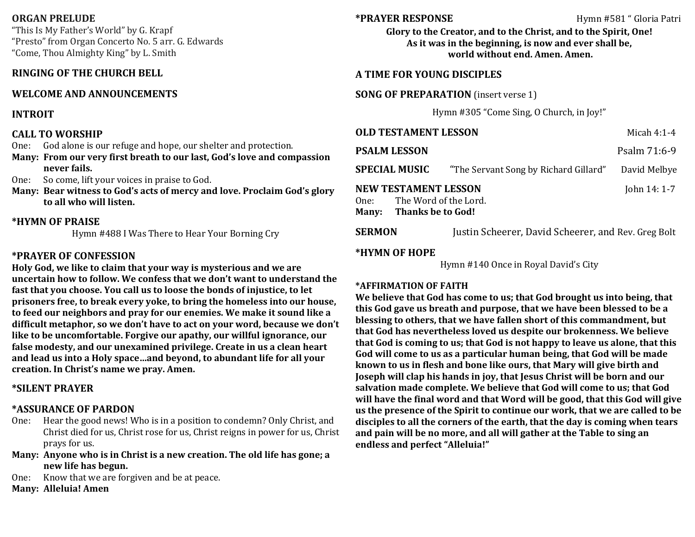#### **ORGAN PRELUDE**

"This Is My Father's World" by G. Krapf "Presto" from Organ Concerto No. 5 arr. G. Edwards "Come, Thou Almighty King" by L. Smith

#### **RINGING OF THE CHURCH BELL**

#### **WELCOME AND ANNOUNCEMENTS**

#### **INTROIT**

#### **CALL TO WORSHIP**

One: God alone is our refuge and hope, our shelter and protection.

**Many: From our very first breath to our last, God's love and compassion never fails.**

One: So come, lift your voices in praise to God.

**Many: Bear witness to God's acts of mercy and love. Proclaim God's glory to all who will listen.**

#### **\*HYMN OF PRAISE**

Hymn #488 I Was There to Hear Your Borning Cry

#### **\*PRAYER OF CONFESSION**

**Holy God, we like to claim that your way is mysterious and we are uncertain how to follow. We confess that we don't want to understand the fast that you choose. You call us to loose the bonds of injustice, to let prisoners free, to break every yoke, to bring the homeless into our house, to feed our neighbors and pray for our enemies. We make it sound like a difficult metaphor, so we don't have to act on your word, because we don't like to be uncomfortable. Forgive our apathy, our willful ignorance, our false modesty, and our unexamined privilege. Create in us a clean heart and lead us into a Holy space…and beyond, to abundant life for all your creation. In Christ's name we pray. Amen.**

#### **\*SILENT PRAYER**

#### **\*ASSURANCE OF PARDON**

- One: Hear the good news! Who is in a position to condemn? Only Christ, and Christ died for us, Christ rose for us, Christ reigns in power for us, Christ prays for us.
- **Many: Anyone who is in Christ is a new creation. The old life has gone; a new life has begun.**

One: Know that we are forgiven and be at peace.

**Many: Alleluia! Amen**

**\*PRAYER RESPONSE** Hymn #581 " Gloria Patri

**Glory to the Creator, and to the Christ, and to the Spirit, One! As it was in the beginning, is now and ever shall be, world without end. Amen. Amen.**

#### **A TIME FOR YOUNG DISCIPLES**

#### **SONG OF PREPARATION** (insert verse 1)

Hymn #305 "Come Sing, O Church, in Joy!"

| <b>OLD TESTAMENT LESSON</b>                                                          | Micah $4:1-4$                         |              |
|--------------------------------------------------------------------------------------|---------------------------------------|--------------|
| <b>PSALM LESSON</b>                                                                  |                                       | Psalm 71:6-9 |
| <b>SPECIAL MUSIC</b>                                                                 | "The Servant Song by Richard Gillard" | David Melbye |
| <b>NEW TESTAMENT LESSON</b><br>One: The Word of the Lord.<br>Many: Thanks be to God! |                                       | John 14: 1-7 |

**SERMON** Justin Scheerer, David Scheerer, and Rev. Greg Bolt

#### **\*HYMN OF HOPE**

Hymn #140 Once in Royal David's City

#### **\*AFFIRMATION OF FAITH**

**We believe that God has come to us; that God brought us into being, that this God gave us breath and purpose, that we have been blessed to be a blessing to others, that we have fallen short of this commandment, but that God has nevertheless loved us despite our brokenness. We believe that God is coming to us; that God is not happy to leave us alone, that this God will come to us as a particular human being, that God will be made known to us in flesh and bone like ours, that Mary will give birth and Joseph will clap his hands in joy, that Jesus Christ will be born and our salvation made complete. We believe that God will come to us; that God will have the final word and that Word will be good, that this God will give us the presence of the Spirit to continue our work, that we are called to be disciples to all the corners of the earth, that the day is coming when tears and pain will be no more, and all will gather at the Table to sing an endless and perfect "Alleluia!"**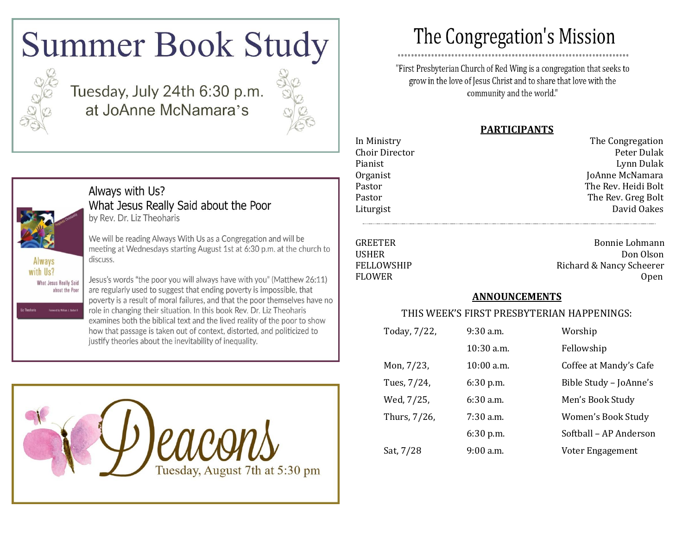# **Summer Book Study**

Tuesday, July 24th 6:30 p.m. at JoAnne McNamara's





Always with Us? What Jesus Really Said about the Poor by Rev. Dr. Liz Theoharis

We will be reading Always With Us as a Congregation and will be meeting at Wednesdays starting August 1st at 6:30 p.m. at the church to discuss.

Jesus's words "the poor you will always have with you" (Matthew 26:11) are regularly used to suggest that ending poverty is impossible, that poverty is a result of moral failures, and that the poor themselves have no role in changing their situation. In this book Rev. Dr. Liz Theoharis examines both the biblical text and the lived reality of the poor to show how that passage is taken out of context, distorted, and politicized to justify theories about the inevitability of inequality.



# The Congregation's Mission

"First Presbyterian Church of Red Wing is a congregation that seeks to grow in the love of Jesus Christ and to share that love with the community and the world."

#### **PARTICIPANTS**

In Ministry **The Congregation** Choir Director **Peter Dulak** Peter Dulak Pianist Lynn Dulak Organist JoAnne McNamara Pastor The Rev. Heidi Bolt Pastor **The Rev. Greg Bolt** Liturgist David Oakes

| ;REETER    |  |
|------------|--|
| JSHER      |  |
| FELLOWSHIP |  |
| ELOWER     |  |

GREETER Bonnie Lohmann USHER Don Olson FELLOWSHIP Richard & Nancy Scheerer FLOWER Open

#### **ANNOUNCEMENTS**

#### THIS WEEK'S FIRST PRESBYTERIAN HAPPENINGS:

| Today, 7/22, | $9:30$ a.m.  | Worship                |
|--------------|--------------|------------------------|
|              | $10:30$ a.m. | Fellowship             |
| Mon, 7/23,   | $10:00$ a.m. | Coffee at Mandy's Cafe |
| Tues, 7/24,  | $6:30$ p.m.  | Bible Study - JoAnne's |
| Wed, 7/25,   | $6:30$ a.m.  | Men's Book Study       |
| Thurs, 7/26, | 7:30 a.m.    | Women's Book Study     |
|              | $6:30$ p.m.  | Softball - AP Anderson |
| Sat, 7/28    | $9:00$ a.m.  | Voter Engagement       |